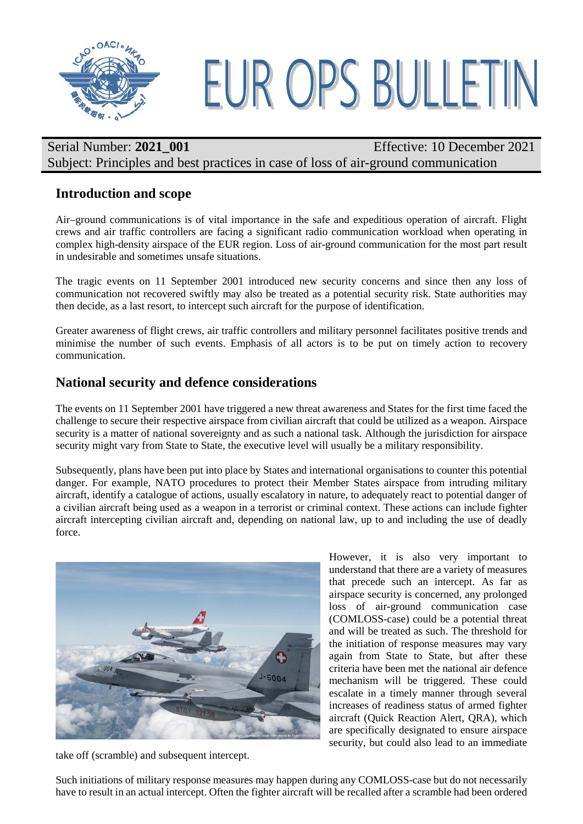

## Serial Number: **2021 001** Effective: 10 December 2021 Subject: Principles and best practices in case of loss of air-ground communication

## **Introduction and scope**

Air–ground communications is of vital importance in the safe and expeditious operation of aircraft. Flight crews and air traffic controllers are facing a significant radio communication workload when operating in complex high-density airspace of the EUR region. Loss of air-ground communication for the most part result in undesirable and sometimes unsafe situations.

The tragic events on 11 September 2001 introduced new security concerns and since then any loss of communication not recovered swiftly may also be treated as a potential security risk. State authorities may then decide, as a last resort, to intercept such aircraft for the purpose of identification.

Greater awareness of flight crews, air traffic controllers and military personnel facilitates positive trends and minimise the number of such events. Emphasis of all actors is to be put on timely action to recovery communication.

## **National security and defence considerations**

The events on 11 September 2001 have triggered a new threat awareness and States for the first time faced the challenge to secure their respective airspace from civilian aircraft that could be utilized as a weapon. Airspace security is a matter of national sovereignty and as such a national task. Although the jurisdiction for airspace security might vary from State to State, the executive level will usually be a military responsibility.

Subsequently, plans have been put into place by States and international organisations to counter this potential danger. For example, NATO procedures to protect their Member States airspace from intruding military aircraft, identify a catalogue of actions, usually escalatory in nature, to adequately react to potential danger of a civilian aircraft being used as a weapon in a terrorist or criminal context. These actions can include fighter aircraft intercepting civilian aircraft and, depending on national law, up to and including the use of deadly force.



take off (scramble) and subsequent intercept.

However, it is also very important to understand that there are a variety of measures that precede such an intercept. As far as airspace security is concerned, any prolonged loss of air-ground communication case (COMLOSS-case) could be a potential threat and will be treated as such. The threshold for the initiation of response measures may vary again from State to State, but after these criteria have been met the national air defence mechanism will be triggered. These could escalate in a timely manner through several increases of readiness status of armed fighter aircraft (Quick Reaction Alert, QRA), which are specifically designated to ensure airspace security, but could also lead to an immediate

Such initiations of military response measures may happen during any COMLOSS-case but do not necessarily have to result in an actual intercept. Often the fighter aircraft will be recalled after a scramble had been ordered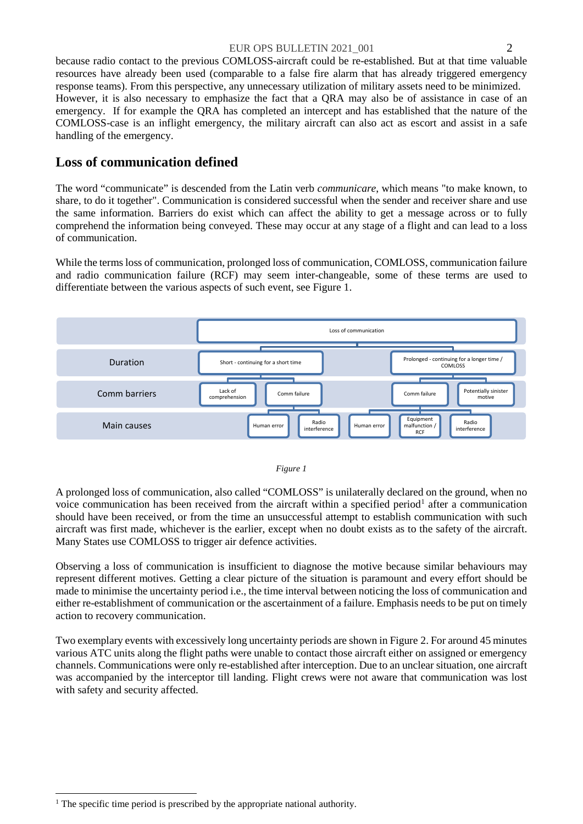because radio contact to the previous COMLOSS-aircraft could be re-established. But at that time valuable resources have already been used (comparable to a false fire alarm that has already triggered emergency response teams). From this perspective, any unnecessary utilization of military assets need to be minimized. However, it is also necessary to emphasize the fact that a QRA may also be of assistance in case of an emergency. If for example the QRA has completed an intercept and has established that the nature of the COMLOSS-case is an inflight emergency, the military aircraft can also act as escort and assist in a safe handling of the emergency.

## **Loss of communication defined**

The word "communicate" is descended from the Latin verb *communicare*, which means "to make known, to share, to do it together". Communication is considered successful when the sender and receiver share and use the same information. Barriers do exist which can affect the ability to get a message across or to fully comprehend the information being conveyed. These may occur at any stage of a flight and can lead to a loss of communication.

While the terms loss of communication, prolonged loss of communication, COMLOSS, communication failure and radio communication failure (RCF) may seem inter-changeable, some of these terms are used to differentiate between the various aspects of such event, see Figure 1.



#### *Figure 1*

A prolonged loss of communication, also called "COMLOSS" is unilaterally declared on the ground, when no voice communication has been received from the aircraft within a specified period<sup>1</sup> after a communication should have been received, or from the time an unsuccessful attempt to establish communication with such aircraft was first made, whichever is the earlier, except when no doubt exists as to the safety of the aircraft. Many States use COMLOSS to trigger air defence activities.

Observing a loss of communication is insufficient to diagnose the motive because similar behaviours may represent different motives. Getting a clear picture of the situation is paramount and every effort should be made to minimise the uncertainty period i.e., the time interval between noticing the loss of communication and either re-establishment of communication or the ascertainment of a failure. Emphasis needs to be put on timely action to recovery communication.

Two exemplary events with excessively long uncertainty periods are shown in Figure 2. For around 45 minutes various ATC units along the flight paths were unable to contact those aircraft either on assigned or emergency channels. Communications were only re-established after interception. Due to an unclear situation, one aircraft was accompanied by the interceptor till landing. Flight crews were not aware that communication was lost with safety and security affected.

<span id="page-1-0"></span> $1$ . The specific time period is prescribed by the appropriate national authority.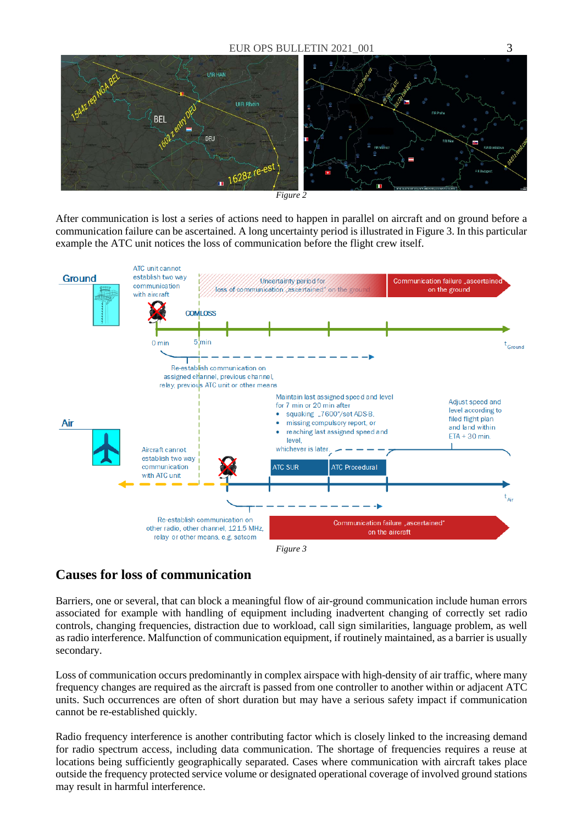

After communication is lost a series of actions need to happen in parallel on aircraft and on ground before a communication failure can be ascertained. A long uncertainty period is illustrated in Figure 3. In this particular example the ATC unit notices the loss of communication before the flight crew itself.



## **Causes for loss of communication**

Barriers, one or several, that can block a meaningful flow of air-ground communication include human errors associated for example with handling of equipment including inadvertent changing of correctly set radio controls, changing frequencies, distraction due to workload, call sign similarities, language problem, as well as radio interference. Malfunction of communication equipment, if routinely maintained, as a barrier is usually secondary.

Loss of communication occurs predominantly in complex airspace with high-density of air traffic, where many frequency changes are required as the aircraft is passed from one controller to another within or adjacent ATC units. Such occurrences are often of short duration but may have a serious safety impact if communication cannot be re-established quickly.

Radio frequency interference is another contributing factor which is closely linked to the increasing demand for radio spectrum access, including data communication. The shortage of frequencies requires a reuse at locations being sufficiently geographically separated. Cases where communication with aircraft takes place outside the frequency protected service volume or designated operational coverage of involved ground stations may result in harmful interference.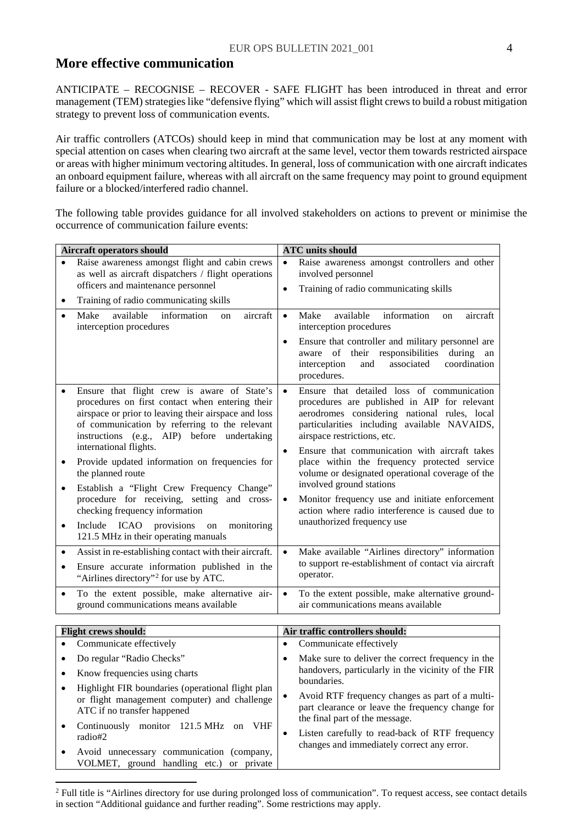## **More effective communication**

ANTICIPATE – RECOGNISE – RECOVER - SAFE FLIGHT has been introduced in threat and error management (TEM) strategies like "defensive flying" which will assist flight crews to build a robust mitigation strategy to prevent loss of communication events.

Air traffic controllers (ATCOs) should keep in mind that communication may be lost at any moment with special attention on cases when clearing two aircraft at the same level, vector them towards restricted airspace or areas with higher minimum vectoring altitudes. In general, loss of communication with one aircraft indicates an onboard equipment failure, whereas with all aircraft on the same frequency may point to ground equipment failure or a blocked/interfered radio channel.

The following table provides guidance for all involved stakeholders on actions to prevent or minimise the occurrence of communication failure events:

| <b>Aircraft operators should</b> |                                                                                                                                                                                                                                                                                  |                        | <b>ATC</b> units should                                                                                                                                                                                                                                                    |  |  |
|----------------------------------|----------------------------------------------------------------------------------------------------------------------------------------------------------------------------------------------------------------------------------------------------------------------------------|------------------------|----------------------------------------------------------------------------------------------------------------------------------------------------------------------------------------------------------------------------------------------------------------------------|--|--|
|                                  | Raise awareness amongst flight and cabin crews<br>as well as aircraft dispatchers / flight operations<br>officers and maintenance personnel                                                                                                                                      | $\bullet$<br>$\bullet$ | Raise awareness amongst controllers and other<br>involved personnel<br>Training of radio communicating skills                                                                                                                                                              |  |  |
| ٠                                | Training of radio communicating skills                                                                                                                                                                                                                                           |                        |                                                                                                                                                                                                                                                                            |  |  |
| $\bullet$                        | Make<br>available<br>information<br>aircraft<br>on<br>interception procedures                                                                                                                                                                                                    | $\bullet$<br>$\bullet$ | Make<br>available<br>information<br>aircraft<br>on<br>interception procedures<br>Ensure that controller and military personnel are<br>aware of their responsibilities<br>during<br>an<br>coordination<br>interception<br>and<br>associated<br>procedures.                  |  |  |
|                                  | Ensure that flight crew is aware of State's<br>procedures on first contact when entering their<br>airspace or prior to leaving their airspace and loss<br>of communication by referring to the relevant<br>instructions (e.g., AIP) before undertaking<br>international flights. | $\bullet$<br>$\bullet$ | Ensure that detailed loss of communication<br>procedures are published in AIP for relevant<br>aerodromes considering national rules, local<br>particularities including available NAVAIDS,<br>airspace restrictions, etc.<br>Ensure that communication with aircraft takes |  |  |
| $\bullet$                        | Provide updated information on frequencies for<br>the planned route                                                                                                                                                                                                              |                        | place within the frequency protected service<br>volume or designated operational coverage of the<br>involved ground stations                                                                                                                                               |  |  |
| $\bullet$                        | Establish a "Flight Crew Frequency Change"<br>procedure for receiving, setting and cross-<br>checking frequency information                                                                                                                                                      | $\bullet$              | Monitor frequency use and initiate enforcement<br>action where radio interference is caused due to                                                                                                                                                                         |  |  |
| ٠                                | Include ICAO provisions<br>monitoring<br>on<br>121.5 MHz in their operating manuals                                                                                                                                                                                              |                        | unauthorized frequency use                                                                                                                                                                                                                                                 |  |  |
| $\bullet$<br>$\bullet$           | Assist in re-establishing contact with their aircraft.<br>Ensure accurate information published in the<br>"Airlines directory" <sup>2</sup> for use by ATC.                                                                                                                      | $\bullet$              | Make available "Airlines directory" information<br>to support re-establishment of contact via aircraft<br>operator.                                                                                                                                                        |  |  |
|                                  | To the extent possible, make alternative air-<br>ground communications means available                                                                                                                                                                                           | $\bullet$              | To the extent possible, make alternative ground-<br>air communications means available                                                                                                                                                                                     |  |  |
|                                  |                                                                                                                                                                                                                                                                                  |                        |                                                                                                                                                                                                                                                                            |  |  |
|                                  | <b>Flight crews should:</b>                                                                                                                                                                                                                                                      |                        | Air traffic controllers should:                                                                                                                                                                                                                                            |  |  |
|                                  | Communicate effectively                                                                                                                                                                                                                                                          | $\bullet$              | Communicate effectively                                                                                                                                                                                                                                                    |  |  |
| ٠                                | Do regular "Radio Checks"                                                                                                                                                                                                                                                        | $\bullet$              | Make sure to deliver the correct frequency in the<br>handovers, particularly in the vicinity of the FIR                                                                                                                                                                    |  |  |
|                                  | Know frequencies using charts                                                                                                                                                                                                                                                    |                        | boundaries.                                                                                                                                                                                                                                                                |  |  |
|                                  | Highlight FIR boundaries (operational flight plan<br>or flight management computer) and challenge<br>ATC if no transfer happened                                                                                                                                                 | $\bullet$              | Avoid RTF frequency changes as part of a multi-<br>part clearance or leave the frequency change for<br>the final part of the message.                                                                                                                                      |  |  |
| ٠                                | Continuously monitor 121.5 MHz on VHF<br>radio#2                                                                                                                                                                                                                                 | $\bullet$              | Listen carefully to read-back of RTF frequency<br>changes and immediately correct any error.                                                                                                                                                                               |  |  |
|                                  | Avoid unnecessary communication (company,<br>VOLMET, ground handling etc.) or private                                                                                                                                                                                            |                        |                                                                                                                                                                                                                                                                            |  |  |

<span id="page-3-0"></span><sup>&</sup>lt;sup>2</sup> Full title is "Airlines directory for use during prolonged loss of communication". To request access, see contact details in section "Additional guidance and further reading". Some restrictions may apply.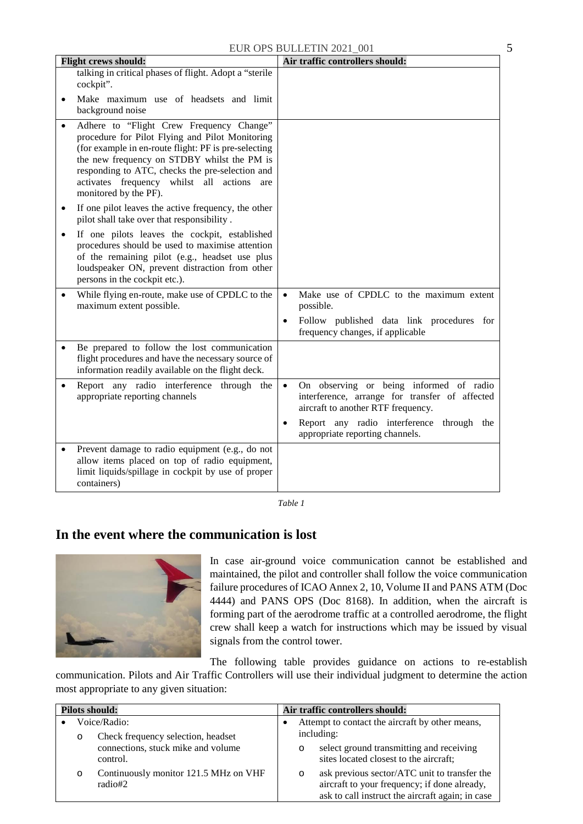| <b>Flight crews should:</b>                                                                                                                                                                                                                                                                                                     | Air traffic controllers should:                                                                                                              |
|---------------------------------------------------------------------------------------------------------------------------------------------------------------------------------------------------------------------------------------------------------------------------------------------------------------------------------|----------------------------------------------------------------------------------------------------------------------------------------------|
| talking in critical phases of flight. Adopt a "sterile<br>cockpit".                                                                                                                                                                                                                                                             |                                                                                                                                              |
| Make maximum use of headsets and limit<br>background noise                                                                                                                                                                                                                                                                      |                                                                                                                                              |
| Adhere to "Flight Crew Frequency Change"<br>procedure for Pilot Flying and Pilot Monitoring<br>(for example in en-route flight: PF is pre-selecting<br>the new frequency on STDBY whilst the PM is<br>responding to ATC, checks the pre-selection and<br>activates frequency whilst all actions<br>are<br>monitored by the PF). |                                                                                                                                              |
| If one pilot leaves the active frequency, the other<br>$\bullet$<br>pilot shall take over that responsibility.                                                                                                                                                                                                                  |                                                                                                                                              |
| If one pilots leaves the cockpit, established<br>٠<br>procedures should be used to maximise attention<br>of the remaining pilot (e.g., headset use plus<br>loudspeaker ON, prevent distraction from other<br>persons in the cockpit etc.).                                                                                      |                                                                                                                                              |
| While flying en-route, make use of CPDLC to the<br>maximum extent possible.                                                                                                                                                                                                                                                     | Make use of CPDLC to the maximum extent<br>possible.                                                                                         |
|                                                                                                                                                                                                                                                                                                                                 | Follow published data link procedures for<br>$\bullet$<br>frequency changes, if applicable                                                   |
| Be prepared to follow the lost communication<br>flight procedures and have the necessary source of<br>information readily available on the flight deck.                                                                                                                                                                         |                                                                                                                                              |
| Report any radio interference through the<br>appropriate reporting channels                                                                                                                                                                                                                                                     | On observing or being informed of radio<br>$\bullet$<br>interference, arrange for transfer of affected<br>aircraft to another RTF frequency. |
|                                                                                                                                                                                                                                                                                                                                 | Report any radio interference through the<br>appropriate reporting channels.                                                                 |
| Prevent damage to radio equipment (e.g., do not<br>allow items placed on top of radio equipment,<br>limit liquids/spillage in cockpit by use of proper<br>containers)                                                                                                                                                           |                                                                                                                                              |

*Table 1*

## **In the event where the communication is lost**



In case air-ground voice communication cannot be established and maintained, the pilot and controller shall follow the voice communication failure procedures of ICAO Annex 2, 10, Volume II and PANS ATM (Doc 4444) and PANS OPS (Doc 8168). In addition, when the aircraft is forming part of the aerodrome traffic at a controlled aerodrome, the flight crew shall keep a watch for instructions which may be issued by visual signals from the control tower.

The following table provides guidance on actions to re-establish

communication. Pilots and Air Traffic Controllers will use their individual judgment to determine the action most appropriate to any given situation:

| <b>Pilots should:</b> |         |                                                    | Air traffic controllers should: |                                                                                                                                                              |
|-----------------------|---------|----------------------------------------------------|---------------------------------|--------------------------------------------------------------------------------------------------------------------------------------------------------------|
|                       | $\circ$ | Voice/Radio:<br>Check frequency selection, headset |                                 | Attempt to contact the aircraft by other means,<br>including:                                                                                                |
|                       |         | connections, stuck mike and volume<br>control.     |                                 | select ground transmitting and receiving<br>O<br>sites located closest to the aircraft;                                                                      |
|                       | $\circ$ | Continuously monitor 121.5 MHz on VHF<br>radio#2   |                                 | ask previous sector/ATC unit to transfer the<br>$\Omega$<br>aircraft to your frequency; if done already,<br>ask to call instruct the aircraft again; in case |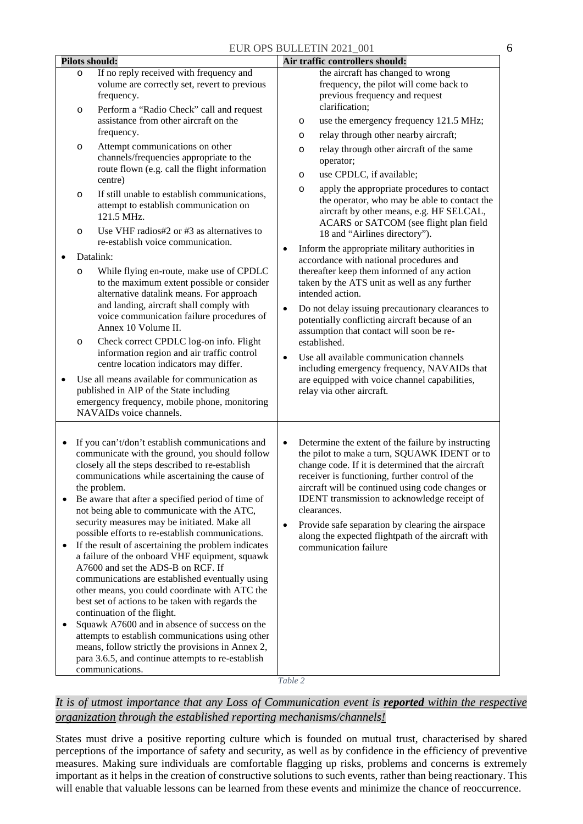| <b>Pilots should:</b>                                                                                                                                                                                                                                                                                                                                                                                                                                                                                                                                                                                                                                                                                                                                                                                                                                                                                                                                                                                   | Air traffic controllers should:                                                                                                                                                                                                                                                                                                                                                                                                                                                                                                                                                                |  |  |
|---------------------------------------------------------------------------------------------------------------------------------------------------------------------------------------------------------------------------------------------------------------------------------------------------------------------------------------------------------------------------------------------------------------------------------------------------------------------------------------------------------------------------------------------------------------------------------------------------------------------------------------------------------------------------------------------------------------------------------------------------------------------------------------------------------------------------------------------------------------------------------------------------------------------------------------------------------------------------------------------------------|------------------------------------------------------------------------------------------------------------------------------------------------------------------------------------------------------------------------------------------------------------------------------------------------------------------------------------------------------------------------------------------------------------------------------------------------------------------------------------------------------------------------------------------------------------------------------------------------|--|--|
| If no reply received with frequency and<br>$\circ$<br>volume are correctly set, revert to previous<br>frequency.<br>Perform a "Radio Check" call and request<br>$\circ$<br>assistance from other aircraft on the<br>frequency.                                                                                                                                                                                                                                                                                                                                                                                                                                                                                                                                                                                                                                                                                                                                                                          | the aircraft has changed to wrong<br>frequency, the pilot will come back to<br>previous frequency and request<br>clarification;<br>use the emergency frequency 121.5 MHz;<br>$\circ$<br>relay through other nearby aircraft;<br>$\circ$                                                                                                                                                                                                                                                                                                                                                        |  |  |
| Attempt communications on other<br>$\circ$<br>channels/frequencies appropriate to the<br>route flown (e.g. call the flight information<br>centre)<br>If still unable to establish communications,<br>$\circ$<br>attempt to establish communication on<br>121.5 MHz.<br>Use VHF radios#2 or #3 as alternatives to<br>$\circ$                                                                                                                                                                                                                                                                                                                                                                                                                                                                                                                                                                                                                                                                             | relay through other aircraft of the same<br>$\circ$<br>operator;<br>use CPDLC, if available;<br>$\circ$<br>apply the appropriate procedures to contact<br>$\circ$<br>the operator, who may be able to contact the<br>aircraft by other means, e.g. HF SELCAL,<br>ACARS or SATCOM (see flight plan field<br>18 and "Airlines directory").                                                                                                                                                                                                                                                       |  |  |
| re-establish voice communication.<br>Datalink:<br>While flying en-route, make use of CPDLC<br>O<br>to the maximum extent possible or consider<br>alternative datalink means. For approach<br>and landing, aircraft shall comply with<br>voice communication failure procedures of<br>Annex 10 Volume II.<br>Check correct CPDLC log-on info. Flight<br>$\circ$<br>information region and air traffic control<br>centre location indicators may differ.<br>Use all means available for communication as<br>$\bullet$<br>published in AIP of the State including<br>emergency frequency, mobile phone, monitoring<br>NAVAIDs voice channels.                                                                                                                                                                                                                                                                                                                                                              | Inform the appropriate military authorities in<br>$\bullet$<br>accordance with national procedures and<br>thereafter keep them informed of any action<br>taken by the ATS unit as well as any further<br>intended action.<br>Do not delay issuing precautionary clearances to<br>$\bullet$<br>potentially conflicting aircraft because of an<br>assumption that contact will soon be re-<br>established.<br>Use all available communication channels<br>$\bullet$<br>including emergency frequency, NAVAIDs that<br>are equipped with voice channel capabilities,<br>relay via other aircraft. |  |  |
| If you can't/don't establish communications and<br>communicate with the ground, you should follow<br>closely all the steps described to re-establish<br>communications while ascertaining the cause of<br>the problem.<br>Be aware that after a specified period of time of<br>not being able to communicate with the ATC,<br>security measures may be initiated. Make all<br>possible efforts to re-establish communications.<br>If the result of ascertaining the problem indicates<br>a failure of the onboard VHF equipment, squawk<br>A7600 and set the ADS-B on RCF. If<br>communications are established eventually using<br>other means, you could coordinate with ATC the<br>best set of actions to be taken with regards the<br>continuation of the flight.<br>Squawk A7600 and in absence of success on the<br>attempts to establish communications using other<br>means, follow strictly the provisions in Annex 2,<br>para 3.6.5, and continue attempts to re-establish<br>communications. | Determine the extent of the failure by instructing<br>$\bullet$<br>the pilot to make a turn, SQUAWK IDENT or to<br>change code. If it is determined that the aircraft<br>receiver is functioning, further control of the<br>aircraft will be continued using code changes or<br>IDENT transmission to acknowledge receipt of<br>clearances.<br>Provide safe separation by clearing the airspace<br>$\bullet$<br>along the expected flightpath of the aircraft with<br>communication failure                                                                                                    |  |  |

*Table 2*

### *It is of utmost importance that any Loss of Communication event is reported within the respective organization through the established reporting mechanisms/channels!*

States must drive a positive reporting culture which is founded on mutual trust, characterised by shared perceptions of the importance of safety and security, as well as by confidence in the efficiency of preventive measures. Making sure individuals are comfortable flagging up risks, problems and concerns is extremely important as it helps in the creation of constructive solutions to such events, rather than being reactionary. This will enable that valuable lessons can be learned from these events and minimize the chance of reoccurrence.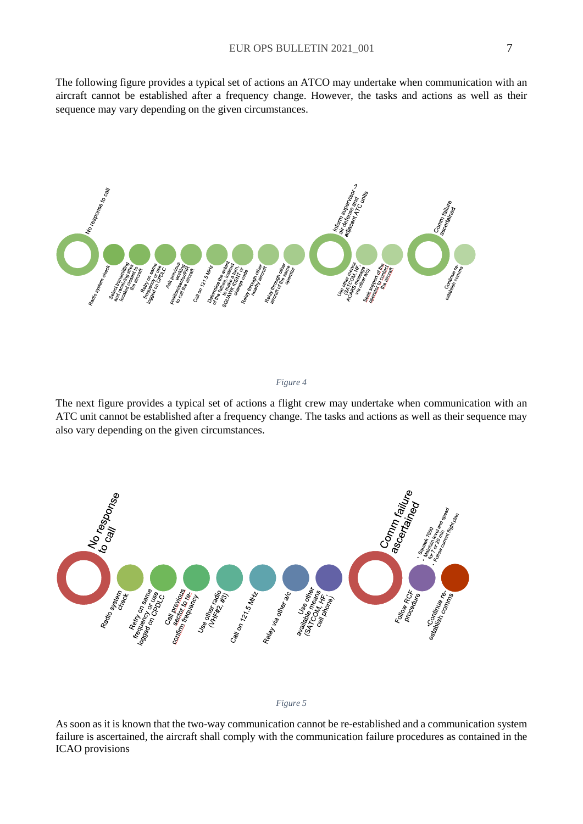The following figure provides a typical set of actions an ATCO may undertake when communication with an aircraft cannot be established after a frequency change. However, the tasks and actions as well as their sequence may vary depending on the given circumstances.



#### *Figure 4*

The next figure provides a typical set of actions a flight crew may undertake when communication with an ATC unit cannot be established after a frequency change. The tasks and actions as well as their sequence may also vary depending on the given circumstances.





As soon as it is known that the two-way communication cannot be re-established and a communication system failure is ascertained, the aircraft shall comply with the communication failure procedures as contained in the ICAO provisions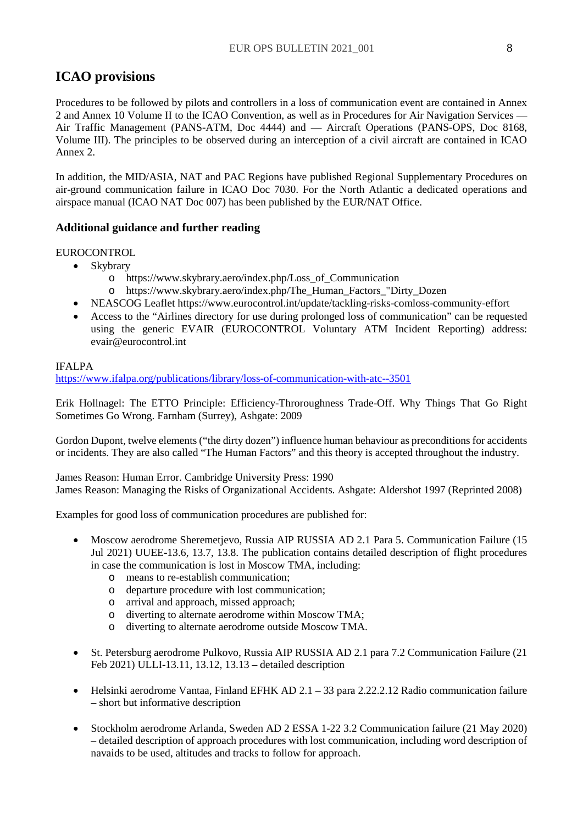# **ICAO provisions**

Procedures to be followed by pilots and controllers in a loss of communication event are contained in Annex 2 and Annex 10 Volume II to the ICAO Convention, as well as in Procedures for Air Navigation Services — Air Traffic Management (PANS-ATM, Doc 4444) and — Aircraft Operations (PANS-OPS, Doc 8168, Volume III). The principles to be observed during an interception of a civil aircraft are contained in ICAO Annex 2.

In addition, the MID/ASIA, NAT and PAC Regions have published Regional Supplementary Procedures on air-ground communication failure in ICAO Doc 7030. For the North Atlantic a dedicated operations and airspace manual (ICAO NAT Doc 007) has been published by the EUR/NAT Office.

## **Additional guidance and further reading**

#### EUROCONTROL

- Skybrary
	- o https://www.skybrary.aero/index.php/Loss\_of\_Communication
	- o https://www.skybrary.aero/index.php/The\_Human\_Factors\_"Dirty\_Dozen
- NEASCOG Leaflet https://www.eurocontrol.int/update/tackling-risks-comloss-community-effort
- Access to the "Airlines directory for use during prolonged loss of communication" can be requested using the generic EVAIR (EUROCONTROL Voluntary ATM Incident Reporting) address: evair@eurocontrol.int

#### IFALPA

<https://www.ifalpa.org/publications/library/loss-of-communication-with-atc--3501>

Erik Hollnagel: The ETTO Principle: Efficiency-Throroughness Trade-Off. Why Things That Go Right Sometimes Go Wrong. Farnham (Surrey), Ashgate: 2009

Gordon Dupont, twelve elements ("the dirty dozen") influence human behaviour as preconditions for accidents or incidents. They are also called "The Human Factors" and this theory is accepted throughout the industry.

James Reason: Human Error. Cambridge University Press: 1990 James Reason: Managing the Risks of Organizational Accidents. Ashgate: Aldershot 1997 (Reprinted 2008)

Examples for good loss of communication procedures are published for:

- Moscow aerodrome Sheremetjevo, Russia AIP RUSSIA AD 2.1 Para 5. Communication Failure (15 Jul 2021) UUEE-13.6, 13.7, 13.8. The publication contains detailed description of flight procedures in case the communication is lost in Moscow TMA, including:
	- o means to re-establish communication;
	- o departure procedure with lost communication;
	- o arrival and approach, missed approach;
	- o diverting to alternate aerodrome within Moscow TMA;
	- o diverting to alternate aerodrome outside Moscow TMA.
- St. Petersburg aerodrome Pulkovo, Russia AIP RUSSIA AD 2.1 para 7.2 Communication Failure (21 Feb 2021) ULLI-13.11, 13.12, 13.13 – detailed description
- Helsinki aerodrome Vantaa, Finland EFHK AD 2.1 33 para 2.22.2.12 Radio communication failure – short but informative description
- Stockholm aerodrome Arlanda, Sweden AD 2 ESSA 1-22 3.2 Communication failure (21 May 2020) – detailed description of approach procedures with lost communication, including word description of navaids to be used, altitudes and tracks to follow for approach.